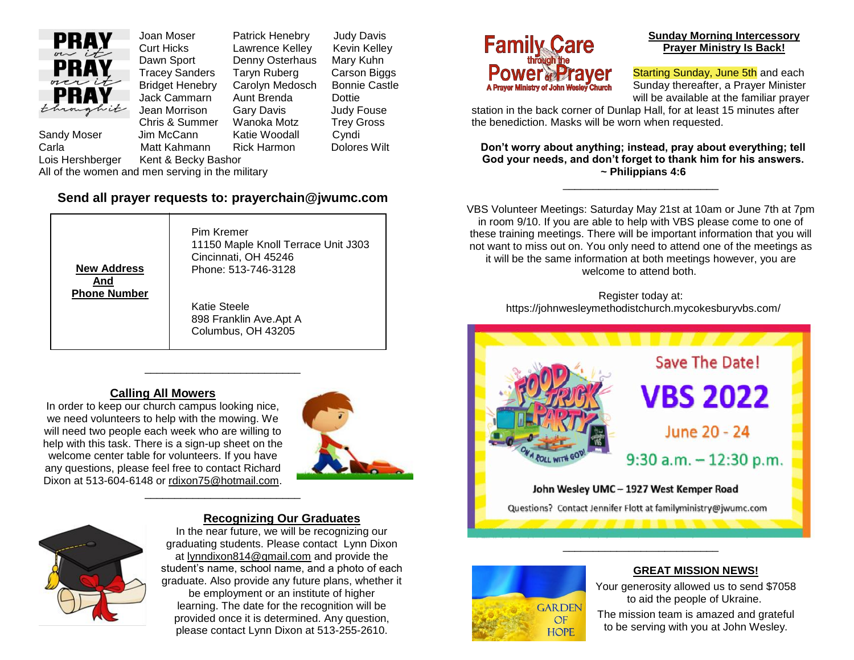

Joan Moser Patrick Henebry Judy Davis Curt Hicks Lawrence Kelley Kevin Kelley Dawn Sport Denny Osterhaus Mary Kuhn Tracey Sanders Taryn Ruberg Carson Biggs Bridget Henebry Carolyn Medosch Bonnie Castle Jack Cammarn Aunt Brenda Dottie Jean Morrison Gary Davis Judy Fouse Chris & Summer Wanoka Motz Trey Gross Sandy Moser Jim McCann Katie Woodall Cyndi Carla Matt Kahmann Rick Harmon Dolores Wilt

Lois Hershberger Kent & Becky Bashor

All of the women and men serving in the military

## **Send all prayer requests to: prayerchain@jwumc.com**

**New Address And Phone Number** Pim Kremer 11150 Maple Knoll Terrace Unit J303 Cincinnati, OH 45246 Phone: 513-746-3128 Katie Steele 898 Franklin Ave.Apt A Columbus, OH 43205

\_\_\_\_\_\_\_\_\_\_\_\_\_\_\_\_\_\_\_\_\_\_\_\_\_\_

\_\_\_\_\_\_\_\_\_\_\_\_\_\_\_\_\_\_\_\_\_\_\_\_\_\_

### **Calling All Mowers**

In order to keep our church campus looking nice, we need volunteers to help with the mowing. We will need two people each week who are willing to help with this task. There is a sign-up sheet on the welcome center table for volunteers. If you have any questions, please feel free to contact Richard Dixon at 513-604-6148 or [rdixon75@hotmail.com.](mailto:rdixon75@hotmail.com)





#### **Recognizing Our Graduates**

In the near future, we will be recognizing our graduating students. Please contact Lynn Dixon at [lynndixon814@gmail.com](mailto:lynndixon814@gmail.com) and provide the student's name, school name, and a photo of each graduate. Also provide any future plans, whether it be employment or an institute of higher learning. The date for the recognition will be provided once it is determined. Any question, please contact Lynn Dixon at 513-255-2610.



#### **Sunday Morning Intercessory Prayer Ministry Is Back!**

Starting Sunday, June 5th and each Sunday thereafter, a Prayer Minister will be available at the familiar prayer

station in the back corner of Dunlap Hall, for at least 15 minutes after the benediction. Masks will be worn when requested.

**Don't worry about anything; instead, pray about everything; tell God your needs, and don't forget to thank him for his answers. ~ Philippians 4:6**

\_\_\_\_\_\_\_\_\_\_\_\_\_\_\_\_\_\_\_\_\_\_\_\_\_\_

VBS Volunteer Meetings: Saturday May 21st at 10am or June 7th at 7pm in room 9/10. If you are able to help with VBS please come to one of these training meetings. There will be important information that you will not want to miss out on. You only need to attend one of the meetings as it will be the same information at both meetings however, you are welcome to attend both.

> Register today at: https://johnwesleymethodistchurch.mycokesburyvbs.com/





#### **GREAT MISSION NEWS!**

Your generosity allowed us to send \$7058 to aid the people of Ukraine.

The mission team is amazed and grateful to be serving with you at John Wesley.